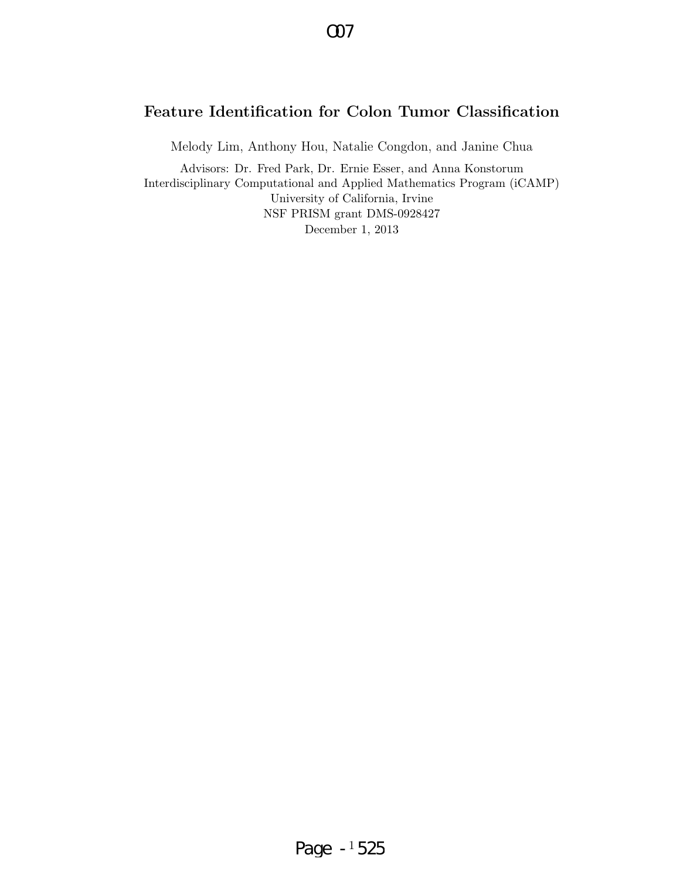# Feature Identification for Colon Tumor Classification

Melody Lim, Anthony Hou, Natalie Congdon, and Janine Chua

Advisors: Dr. Fred Park, Dr. Ernie Esser, and Anna Konstorum Interdisciplinary Computational and Applied Mathematics Program (iCAMP) University of California, Irvine NSF PRISM grant DMS-0928427 December 1, 2013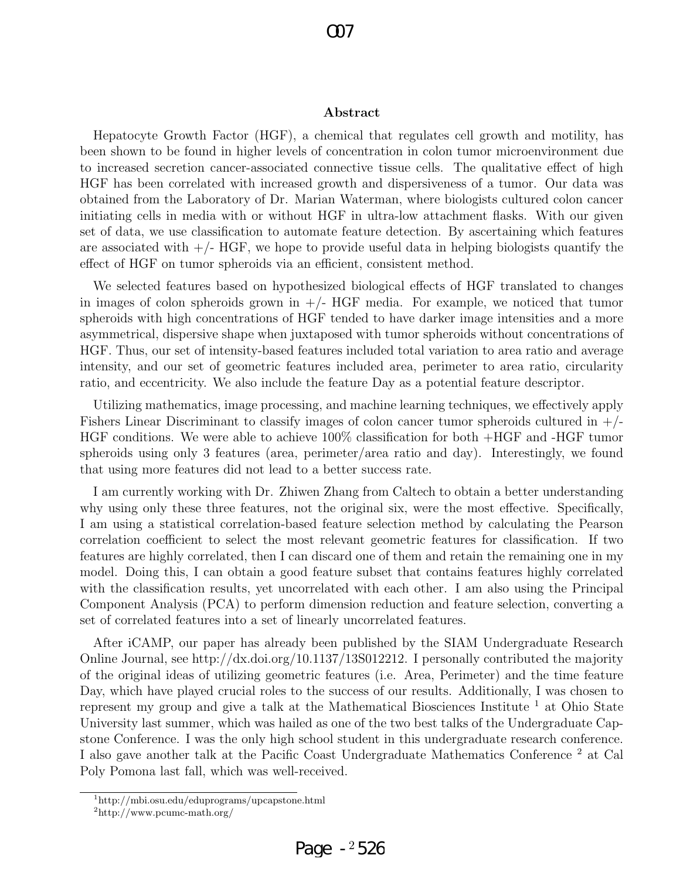#### Abstract

Hepatocyte Growth Factor (HGF), a chemical that regulates cell growth and motility, has been shown to be found in higher levels of concentration in colon tumor microenvironment due to increased secretion cancer-associated connective tissue cells. The qualitative effect of high HGF has been correlated with increased growth and dispersiveness of a tumor. Our data was obtained from the Laboratory of Dr. Marian Waterman, where biologists cultured colon cancer initiating cells in media with or without HGF in ultra-low attachment flasks. With our given set of data, we use classification to automate feature detection. By ascertaining which features are associated with  $+/-$  HGF, we hope to provide useful data in helping biologists quantify the effect of HGF on tumor spheroids via an efficient, consistent method.

We selected features based on hypothesized biological effects of HGF translated to changes in images of colon spheroids grown in  $+/-$  HGF media. For example, we noticed that tumor spheroids with high concentrations of HGF tended to have darker image intensities and a more asymmetrical, dispersive shape when juxtaposed with tumor spheroids without concentrations of HGF. Thus, our set of intensity-based features included total variation to area ratio and average intensity, and our set of geometric features included area, perimeter to area ratio, circularity ratio, and eccentricity. We also include the feature Day as a potential feature descriptor.

Utilizing mathematics, image processing, and machine learning techniques, we effectively apply Fishers Linear Discriminant to classify images of colon cancer tumor spheroids cultured in  $+/-$ HGF conditions. We were able to achieve 100% classification for both +HGF and -HGF tumor spheroids using only 3 features (area, perimeter/area ratio and day). Interestingly, we found that using more features did not lead to a better success rate.

I am currently working with Dr. Zhiwen Zhang from Caltech to obtain a better understanding why using only these three features, not the original six, were the most effective. Specifically, I am using a statistical correlation-based feature selection method by calculating the Pearson correlation coefficient to select the most relevant geometric features for classification. If two features are highly correlated, then I can discard one of them and retain the remaining one in my model. Doing this, I can obtain a good feature subset that contains features highly correlated with the classification results, yet uncorrelated with each other. I am also using the Principal Component Analysis (PCA) to perform dimension reduction and feature selection, converting a set of correlated features into a set of linearly uncorrelated features.

After iCAMP, our paper has already been published by the SIAM Undergraduate Research Online Journal, see http://dx.doi.org/10.1137/13S012212. I personally contributed the majority of the original ideas of utilizing geometric features (i.e. Area, Perimeter) and the time feature Day, which have played crucial roles to the success of our results. Additionally, I was chosen to represent my group and give a talk at the Mathematical Biosciences Institute<sup>1</sup> at Ohio State University last summer, which was hailed as one of the two best talks of the Undergraduate Capstone Conference. I was the only high school student in this undergraduate research conference. I also gave another talk at the Pacific Coast Undergraduate Mathematics Conference <sup>2</sup> at Cal Poly Pomona last fall, which was well-received.

<sup>1</sup>http://mbi.osu.edu/eduprograms/upcapstone.html

<sup>2</sup>http://www.pcumc-math.org/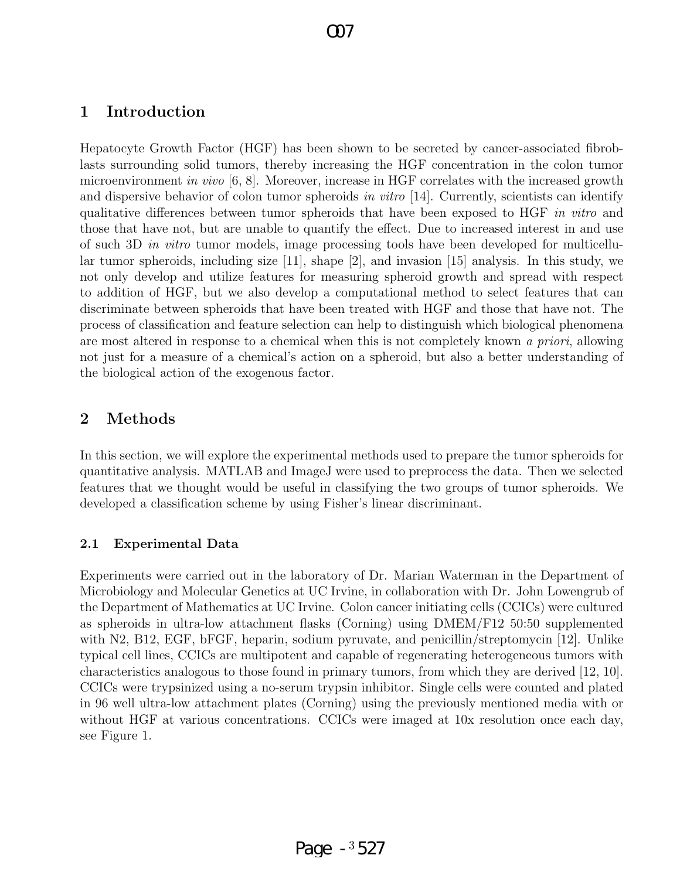# 1 Introduction

Hepatocyte Growth Factor (HGF) has been shown to be secreted by cancer-associated fibroblasts surrounding solid tumors, thereby increasing the HGF concentration in the colon tumor microenvironment in vivo  $[6, 8]$ . Moreover, increase in HGF correlates with the increased growth and dispersive behavior of colon tumor spheroids in vitro  $[14]$ . Currently, scientists can identify qualitative differences between tumor spheroids that have been exposed to HGF in vitro and those that have not, but are unable to quantify the effect. Due to increased interest in and use of such 3D in vitro tumor models, image processing tools have been developed for multicellular tumor spheroids, including size [11], shape [2], and invasion [15] analysis. In this study, we not only develop and utilize features for measuring spheroid growth and spread with respect to addition of HGF, but we also develop a computational method to select features that can discriminate between spheroids that have been treated with HGF and those that have not. The process of classification and feature selection can help to distinguish which biological phenomena are most altered in response to a chemical when this is not completely known a priori, allowing not just for a measure of a chemical's action on a spheroid, but also a better understanding of the biological action of the exogenous factor.

# 2 Methods

In this section, we will explore the experimental methods used to prepare the tumor spheroids for quantitative analysis. MATLAB and ImageJ were used to preprocess the data. Then we selected features that we thought would be useful in classifying the two groups of tumor spheroids. We developed a classification scheme by using Fisher's linear discriminant.

## 2.1 Experimental Data

Experiments were carried out in the laboratory of Dr. Marian Waterman in the Department of Microbiology and Molecular Genetics at UC Irvine, in collaboration with Dr. John Lowengrub of the Department of Mathematics at UC Irvine. Colon cancer initiating cells (CCICs) were cultured as spheroids in ultra-low attachment flasks (Corning) using DMEM/F12 50:50 supplemented with N2, B12, EGF, bFGF, heparin, sodium pyruvate, and penicillin/streptomycin [12]. Unlike typical cell lines, CCICs are multipotent and capable of regenerating heterogeneous tumors with characteristics analogous to those found in primary tumors, from which they are derived [12, 10]. CCICs were trypsinized using a no-serum trypsin inhibitor. Single cells were counted and plated in 96 well ultra-low attachment plates (Corning) using the previously mentioned media with or without HGF at various concentrations. CCICs were imaged at 10x resolution once each day, see Figure 1.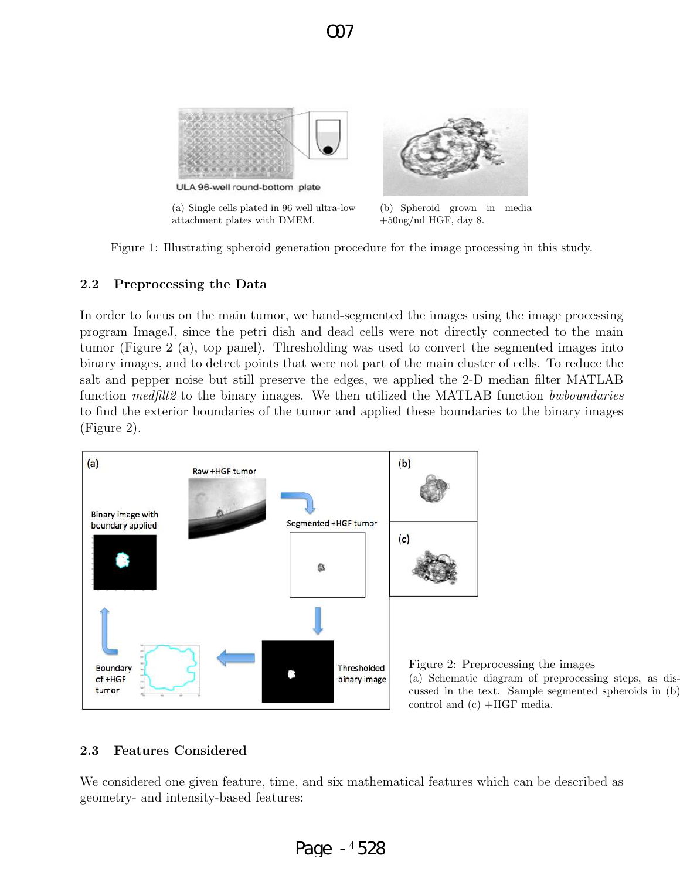$O(2)$ 



Figure 1: Illustrating spheroid generation procedure for the image processing in this study.

#### 2.2 Preprocessing the Data

In order to focus on the main tumor, we hand-segmented the images using the image processing program ImageJ, since the petri dish and dead cells were not directly connected to the main tumor (Figure 2 (a), top panel). Thresholding was used to convert the segmented images into binary images, and to detect points that were not part of the main cluster of cells. To reduce the salt and pepper noise but still preserve the edges, we applied the 2-D median filter MATLAB function medfilt2 to the binary images. We then utilized the MATLAB function bwooundaries to find the exterior boundaries of the tumor and applied these boundaries to the binary images (Figure 2).



Figure 2: Preprocessing the images (a) Schematic diagram of preprocessing steps, as discussed in the text. Sample segmented spheroids in (b) control and (c) +HGF media.

### 2.3 Features Considered

We considered one given feature, time, and six mathematical features which can be described as geometry- and intensity-based features: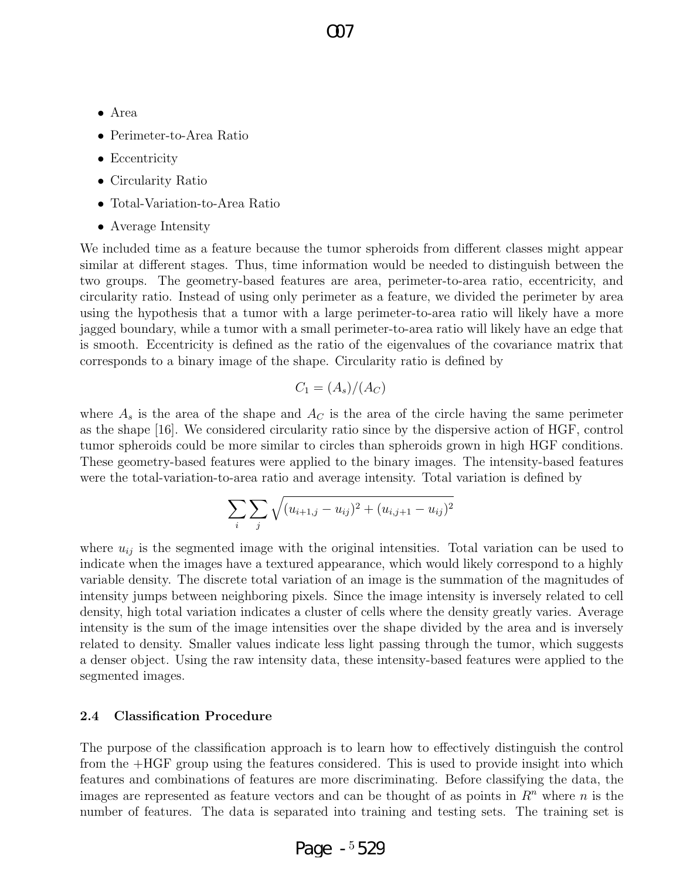- Area
- Perimeter-to-Area Ratio
- Eccentricity
- Circularity Ratio
- Total-Variation-to-Area Ratio
- Average Intensity

We included time as a feature because the tumor spheroids from different classes might appear similar at different stages. Thus, time information would be needed to distinguish between the two groups. The geometry-based features are area, perimeter-to-area ratio, eccentricity, and circularity ratio. Instead of using only perimeter as a feature, we divided the perimeter by area using the hypothesis that a tumor with a large perimeter-to-area ratio will likely have a more jagged boundary, while a tumor with a small perimeter-to-area ratio will likely have an edge that is smooth. Eccentricity is defined as the ratio of the eigenvalues of the covariance matrix that corresponds to a binary image of the shape. Circularity ratio is defined by

$$
C_1 = (A_s)/(A_C)
$$

where  $A_s$  is the area of the shape and  $A_c$  is the area of the circle having the same perimeter as the shape [16]. We considered circularity ratio since by the dispersive action of HGF, control tumor spheroids could be more similar to circles than spheroids grown in high HGF conditions. These geometry-based features were applied to the binary images. The intensity-based features were the total-variation-to-area ratio and average intensity. Total variation is defined by

$$
\sum_{i} \sum_{j} \sqrt{(u_{i+1,j} - u_{ij})^2 + (u_{i,j+1} - u_{ij})^2}
$$

where  $u_{ij}$  is the segmented image with the original intensities. Total variation can be used to indicate when the images have a textured appearance, which would likely correspond to a highly variable density. The discrete total variation of an image is the summation of the magnitudes of intensity jumps between neighboring pixels. Since the image intensity is inversely related to cell density, high total variation indicates a cluster of cells where the density greatly varies. Average intensity is the sum of the image intensities over the shape divided by the area and is inversely related to density. Smaller values indicate less light passing through the tumor, which suggests a denser object. Using the raw intensity data, these intensity-based features were applied to the segmented images.

#### 2.4 Classification Procedure

The purpose of the classification approach is to learn how to effectively distinguish the control from the +HGF group using the features considered. This is used to provide insight into which features and combinations of features are more discriminating. Before classifying the data, the images are represented as feature vectors and can be thought of as points in  $\mathbb{R}^n$  where n is the number of features. The data is separated into training and testing sets. The training set is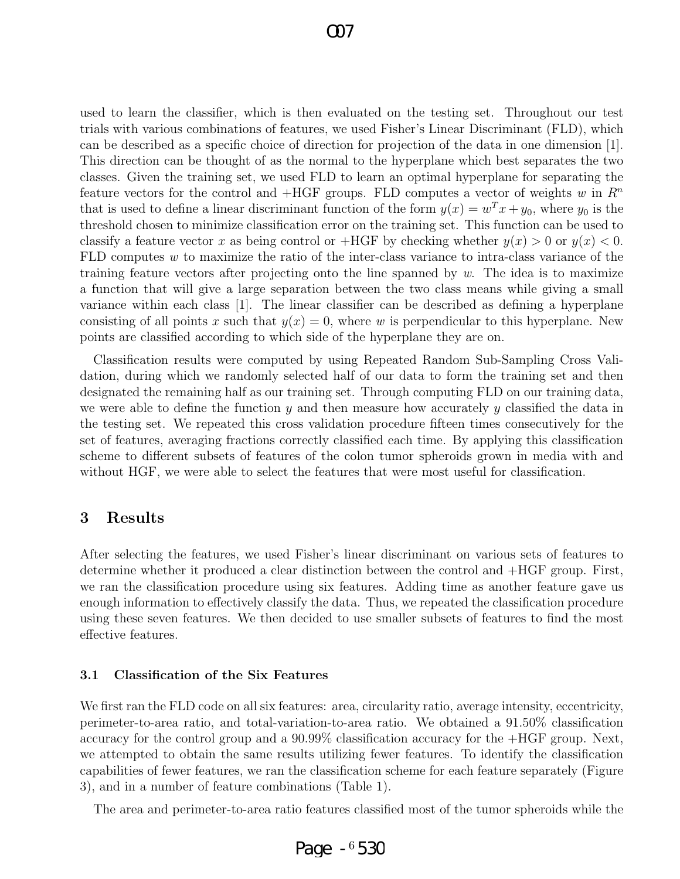used to learn the classifier, which is then evaluated on the testing set. Throughout our test trials with various combinations of features, we used Fisher's Linear Discriminant (FLD), which can be described as a specific choice of direction for projection of the data in one dimension [1]. This direction can be thought of as the normal to the hyperplane which best separates the two classes. Given the training set, we used FLD to learn an optimal hyperplane for separating the feature vectors for the control and  $+HGF$  groups. FLD computes a vector of weights w in  $R^n$ that is used to define a linear discriminant function of the form  $y(x) = w^T x + y_0$ , where  $y_0$  is the threshold chosen to minimize classification error on the training set. This function can be used to classify a feature vector x as being control or  $HGF$  by checking whether  $y(x) > 0$  or  $y(x) < 0$ . FLD computes w to maximize the ratio of the inter-class variance to intra-class variance of the training feature vectors after projecting onto the line spanned by  $w$ . The idea is to maximize a function that will give a large separation between the two class means while giving a small variance within each class [1]. The linear classifier can be described as defining a hyperplane consisting of all points x such that  $y(x) = 0$ , where w is perpendicular to this hyperplane. New points are classified according to which side of the hyperplane they are on.

Classification results were computed by using Repeated Random Sub-Sampling Cross Validation, during which we randomly selected half of our data to form the training set and then designated the remaining half as our training set. Through computing FLD on our training data, we were able to define the function y and then measure how accurately y classified the data in the testing set. We repeated this cross validation procedure fifteen times consecutively for the set of features, averaging fractions correctly classified each time. By applying this classification scheme to different subsets of features of the colon tumor spheroids grown in media with and without HGF, we were able to select the features that were most useful for classification.

## 3 Results

After selecting the features, we used Fisher's linear discriminant on various sets of features to determine whether it produced a clear distinction between the control and +HGF group. First, we ran the classification procedure using six features. Adding time as another feature gave us enough information to effectively classify the data. Thus, we repeated the classification procedure using these seven features. We then decided to use smaller subsets of features to find the most effective features.

#### 3.1 Classification of the Six Features

We first ran the FLD code on all six features: area, circularity ratio, average intensity, eccentricity, perimeter-to-area ratio, and total-variation-to-area ratio. We obtained a 91.50% classification accuracy for the control group and a 90.99% classification accuracy for the +HGF group. Next, we attempted to obtain the same results utilizing fewer features. To identify the classification capabilities of fewer features, we ran the classification scheme for each feature separately (Figure 3), and in a number of feature combinations (Table 1).

The area and perimeter-to-area ratio features classified most of the tumor spheroids while the

Page 
$$
-653C
$$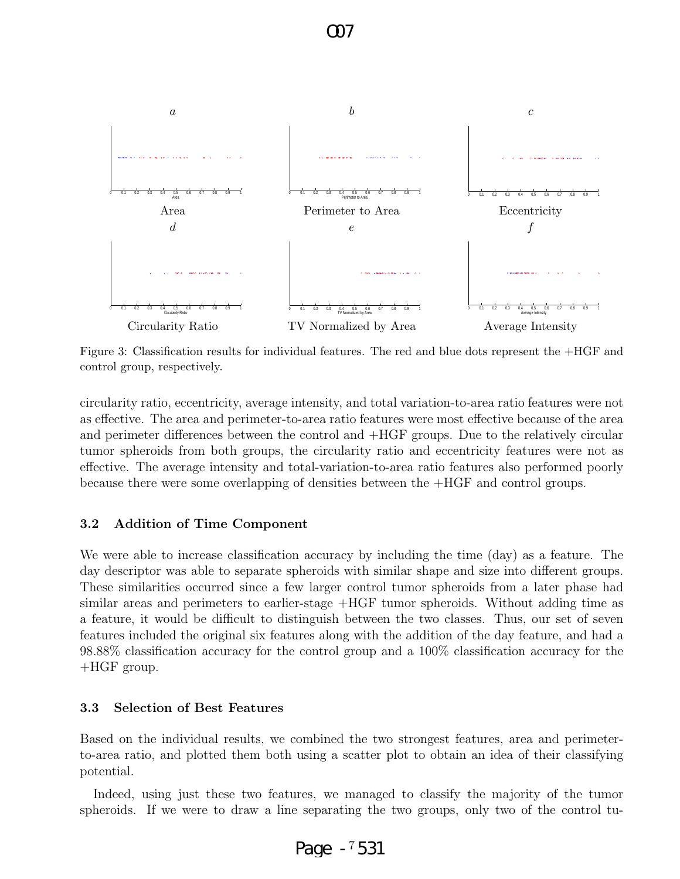

 $O(2)$ 

Figure 3: Classification results for individual features. The red and blue dots represent the +HGF and control group, respectively.

circularity ratio, eccentricity, average intensity, and total variation-to-area ratio features were not as effective. The area and perimeter-to-area ratio features were most effective because of the area and perimeter differences between the control and +HGF groups. Due to the relatively circular tumor spheroids from both groups, the circularity ratio and eccentricity features were not as effective. The average intensity and total-variation-to-area ratio features also performed poorly because there were some overlapping of densities between the +HGF and control groups.

### 3.2 Addition of Time Component

We were able to increase classification accuracy by including the time (day) as a feature. The day descriptor was able to separate spheroids with similar shape and size into different groups. These similarities occurred since a few larger control tumor spheroids from a later phase had similar areas and perimeters to earlier-stage +HGF tumor spheroids. Without adding time as a feature, it would be difficult to distinguish between the two classes. Thus, our set of seven features included the original six features along with the addition of the day feature, and had a 98.88% classification accuracy for the control group and a 100% classification accuracy for the +HGF group.

### 3.3 Selection of Best Features

Based on the individual results, we combined the two strongest features, area and perimeterto-area ratio, and plotted them both using a scatter plot to obtain an idea of their classifying potential.

Indeed, using just these two features, we managed to classify the majority of the tumor spheroids. If we were to draw a line separating the two groups, only two of the control tu-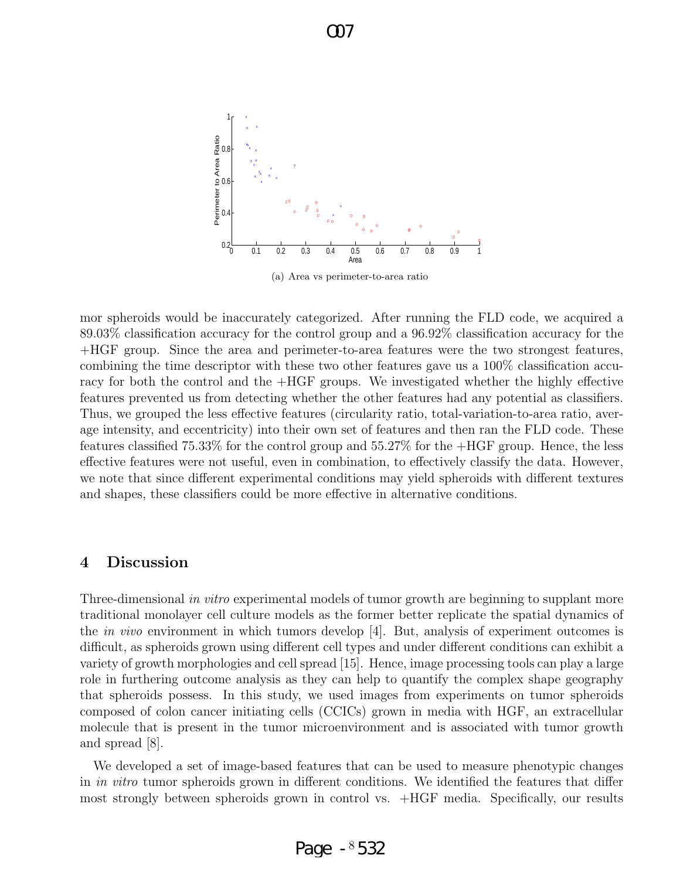

 $O(2)$ 

mor spheroids would be inaccurately categorized. After running the FLD code, we acquired a 89.03% classification accuracy for the control group and a 96.92% classification accuracy for the +HGF group. Since the area and perimeter-to-area features were the two strongest features, combining the time descriptor with these two other features gave us a 100% classification accuracy for both the control and the +HGF groups. We investigated whether the highly effective features prevented us from detecting whether the other features had any potential as classifiers. Thus, we grouped the less effective features (circularity ratio, total-variation-to-area ratio, average intensity, and eccentricity) into their own set of features and then ran the FLD code. These features classified 75.33% for the control group and 55.27% for the +HGF group. Hence, the less effective features were not useful, even in combination, to effectively classify the data. However, we note that since different experimental conditions may yield spheroids with different textures and shapes, these classifiers could be more effective in alternative conditions.

### 4 Discussion

Three-dimensional in vitro experimental models of tumor growth are beginning to supplant more traditional monolayer cell culture models as the former better replicate the spatial dynamics of the in vivo environment in which tumors develop [4]. But, analysis of experiment outcomes is difficult, as spheroids grown using different cell types and under different conditions can exhibit a variety of growth morphologies and cell spread [15]. Hence, image processing tools can play a large role in furthering outcome analysis as they can help to quantify the complex shape geography that spheroids possess. In this study, we used images from experiments on tumor spheroids composed of colon cancer initiating cells (CCICs) grown in media with HGF, an extracellular molecule that is present in the tumor microenvironment and is associated with tumor growth and spread [8].

We developed a set of image-based features that can be used to measure phenotypic changes in in vitro tumor spheroids grown in different conditions. We identified the features that differ most strongly between spheroids grown in control vs. +HGF media. Specifically, our results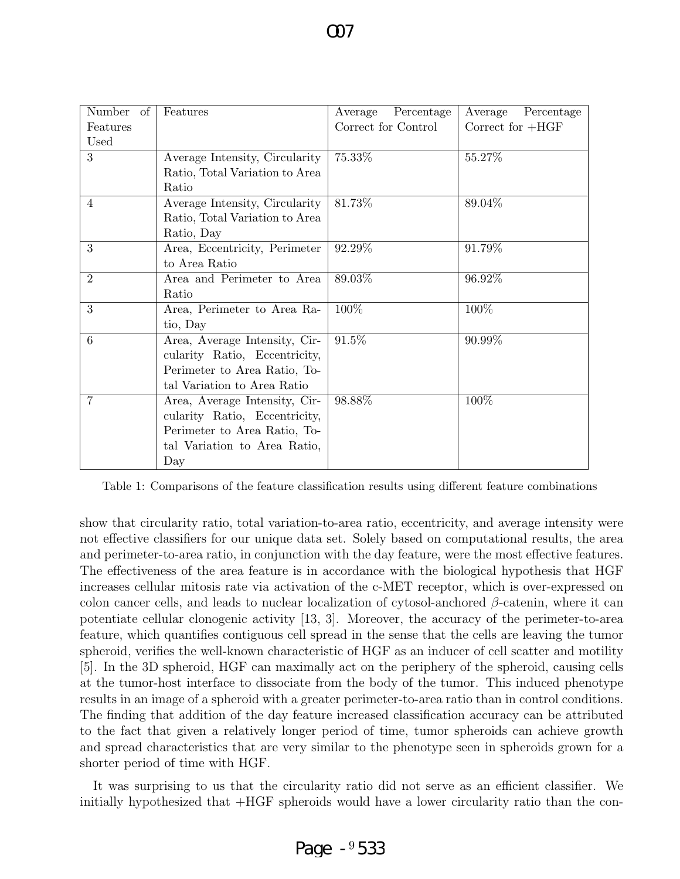| <sub>of</sub><br>Number | Features                       | Percentage<br>Average | Average<br>Percentage |
|-------------------------|--------------------------------|-----------------------|-----------------------|
| Features                |                                | Correct for Control   | Correct for $+HGF$    |
| Used                    |                                |                       |                       |
| 3                       | Average Intensity, Circularity | 75.33%                | 55.27%                |
|                         | Ratio, Total Variation to Area |                       |                       |
|                         | Ratio                          |                       |                       |
| $\overline{4}$          | Average Intensity, Circularity | 81.73%                | 89.04%                |
|                         | Ratio, Total Variation to Area |                       |                       |
|                         | Ratio, Day                     |                       |                       |
| $\overline{3}$          | Area, Eccentricity, Perimeter  | 92.29%                | 91.79%                |
|                         | to Area Ratio                  |                       |                       |
| $\overline{2}$          | Area and Perimeter to Area     | 89.03%                | 96.92%                |
|                         | Ratio                          |                       |                       |
| $\overline{3}$          | Area, Perimeter to Area Ra-    | 100%                  | 100%                  |
|                         | tio, Day                       |                       |                       |
| 6                       | Area, Average Intensity, Cir-  | 91.5%                 | 90.99%                |

cularity Ratio, Eccentricity, Perimeter to Area Ratio, Total Variation to Area Ratio

cularity Ratio, Eccentricity, Perimeter to Area Ratio, Total Variation to Area Ratio,

7 Area, Average Intensity, Cir-

Day

Table 1: Comparisons of the feature classification results using different feature combinations

98.88% 100%

show that circularity ratio, total variation-to-area ratio, eccentricity, and average intensity were not effective classifiers for our unique data set. Solely based on computational results, the area and perimeter-to-area ratio, in conjunction with the day feature, were the most effective features. The effectiveness of the area feature is in accordance with the biological hypothesis that HGF increases cellular mitosis rate via activation of the c-MET receptor, which is over-expressed on colon cancer cells, and leads to nuclear localization of cytosol-anchored  $\beta$ -catenin, where it can potentiate cellular clonogenic activity [13, 3]. Moreover, the accuracy of the perimeter-to-area feature, which quantifies contiguous cell spread in the sense that the cells are leaving the tumor spheroid, verifies the well-known characteristic of HGF as an inducer of cell scatter and motility [5]. In the 3D spheroid, HGF can maximally act on the periphery of the spheroid, causing cells at the tumor-host interface to dissociate from the body of the tumor. This induced phenotype results in an image of a spheroid with a greater perimeter-to-area ratio than in control conditions. The finding that addition of the day feature increased classification accuracy can be attributed to the fact that given a relatively longer period of time, tumor spheroids can achieve growth and spread characteristics that are very similar to the phenotype seen in spheroids grown for a shorter period of time with HGF.

It was surprising to us that the circularity ratio did not serve as an efficient classifier. We initially hypothesized that +HGF spheroids would have a lower circularity ratio than the con-

 $O(2)$ 

# Page - 9533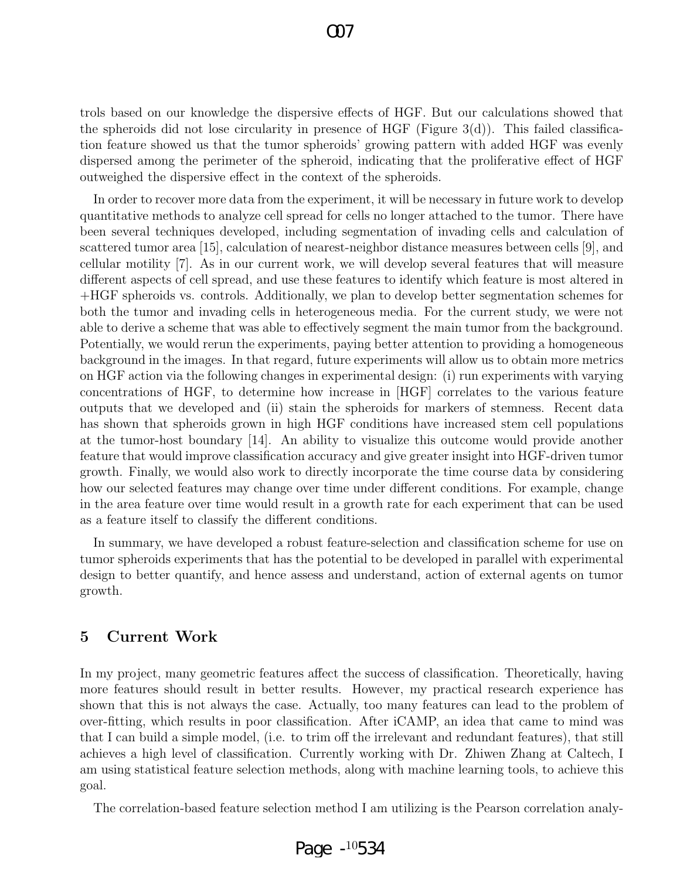trols based on our knowledge the dispersive effects of HGF. But our calculations showed that the spheroids did not lose circularity in presence of HGF (Figure 3(d)). This failed classification feature showed us that the tumor spheroids' growing pattern with added HGF was evenly dispersed among the perimeter of the spheroid, indicating that the proliferative effect of HGF outweighed the dispersive effect in the context of the spheroids.

In order to recover more data from the experiment, it will be necessary in future work to develop quantitative methods to analyze cell spread for cells no longer attached to the tumor. There have been several techniques developed, including segmentation of invading cells and calculation of scattered tumor area [15], calculation of nearest-neighbor distance measures between cells [9], and cellular motility [7]. As in our current work, we will develop several features that will measure different aspects of cell spread, and use these features to identify which feature is most altered in +HGF spheroids vs. controls. Additionally, we plan to develop better segmentation schemes for both the tumor and invading cells in heterogeneous media. For the current study, we were not able to derive a scheme that was able to effectively segment the main tumor from the background. Potentially, we would rerun the experiments, paying better attention to providing a homogeneous background in the images. In that regard, future experiments will allow us to obtain more metrics on HGF action via the following changes in experimental design: (i) run experiments with varying concentrations of HGF, to determine how increase in [HGF] correlates to the various feature outputs that we developed and (ii) stain the spheroids for markers of stemness. Recent data has shown that spheroids grown in high HGF conditions have increased stem cell populations at the tumor-host boundary [14]. An ability to visualize this outcome would provide another feature that would improve classification accuracy and give greater insight into HGF-driven tumor growth. Finally, we would also work to directly incorporate the time course data by considering how our selected features may change over time under different conditions. For example, change in the area feature over time would result in a growth rate for each experiment that can be used as a feature itself to classify the different conditions.

In summary, we have developed a robust feature-selection and classification scheme for use on tumor spheroids experiments that has the potential to be developed in parallel with experimental design to better quantify, and hence assess and understand, action of external agents on tumor growth.

## 5 Current Work

In my project, many geometric features affect the success of classification. Theoretically, having more features should result in better results. However, my practical research experience has shown that this is not always the case. Actually, too many features can lead to the problem of over-fitting, which results in poor classification. After iCAMP, an idea that came to mind was that I can build a simple model, (i.e. to trim off the irrelevant and redundant features), that still achieves a high level of classification. Currently working with Dr. Zhiwen Zhang at Caltech, I am using statistical feature selection methods, along with machine learning tools, to achieve this goal.

The correlation-based feature selection method I am utilizing is the Pearson correlation analy-

Page - <sup>10</sup>534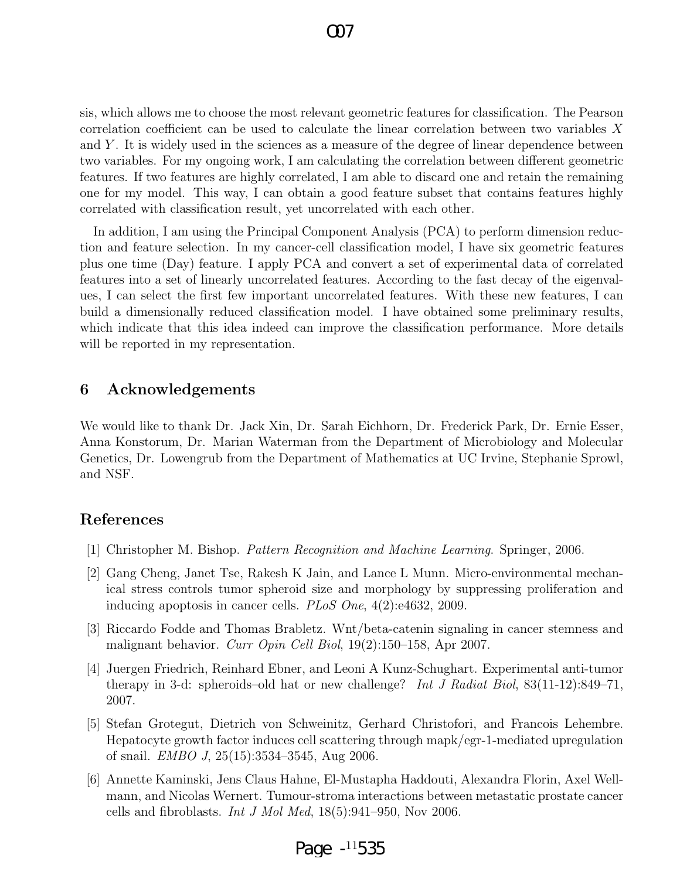sis, which allows me to choose the most relevant geometric features for classification. The Pearson correlation coefficient can be used to calculate the linear correlation between two variables X and  $Y$ . It is widely used in the sciences as a measure of the degree of linear dependence between two variables. For my ongoing work, I am calculating the correlation between different geometric features. If two features are highly correlated, I am able to discard one and retain the remaining one for my model. This way, I can obtain a good feature subset that contains features highly correlated with classification result, yet uncorrelated with each other.

In addition, I am using the Principal Component Analysis (PCA) to perform dimension reduction and feature selection. In my cancer-cell classification model, I have six geometric features plus one time (Day) feature. I apply PCA and convert a set of experimental data of correlated features into a set of linearly uncorrelated features. According to the fast decay of the eigenvalues, I can select the first few important uncorrelated features. With these new features, I can build a dimensionally reduced classification model. I have obtained some preliminary results, which indicate that this idea indeed can improve the classification performance. More details will be reported in my representation.

## 6 Acknowledgements

We would like to thank Dr. Jack Xin, Dr. Sarah Eichhorn, Dr. Frederick Park, Dr. Ernie Esser, Anna Konstorum, Dr. Marian Waterman from the Department of Microbiology and Molecular Genetics, Dr. Lowengrub from the Department of Mathematics at UC Irvine, Stephanie Sprowl, and NSF.

## References

- [1] Christopher M. Bishop. Pattern Recognition and Machine Learning. Springer, 2006.
- [2] Gang Cheng, Janet Tse, Rakesh K Jain, and Lance L Munn. Micro-environmental mechanical stress controls tumor spheroid size and morphology by suppressing proliferation and inducing apoptosis in cancer cells. PLoS One, 4(2):e4632, 2009.
- [3] Riccardo Fodde and Thomas Brabletz. Wnt/beta-catenin signaling in cancer stemness and malignant behavior. Curr Opin Cell Biol, 19(2):150–158, Apr 2007.
- [4] Juergen Friedrich, Reinhard Ebner, and Leoni A Kunz-Schughart. Experimental anti-tumor therapy in 3-d: spheroids–old hat or new challenge? Int J Radiat Biol,  $83(11-12):849-71$ , 2007.
- [5] Stefan Grotegut, Dietrich von Schweinitz, Gerhard Christofori, and Francois Lehembre. Hepatocyte growth factor induces cell scattering through mapk/egr-1-mediated upregulation of snail. EMBO J, 25(15):3534–3545, Aug 2006.
- [6] Annette Kaminski, Jens Claus Hahne, El-Mustapha Haddouti, Alexandra Florin, Axel Wellmann, and Nicolas Wernert. Tumour-stroma interactions between metastatic prostate cancer cells and fibroblasts. *Int J Mol Med*,  $18(5):941-950$ , Nov 2006.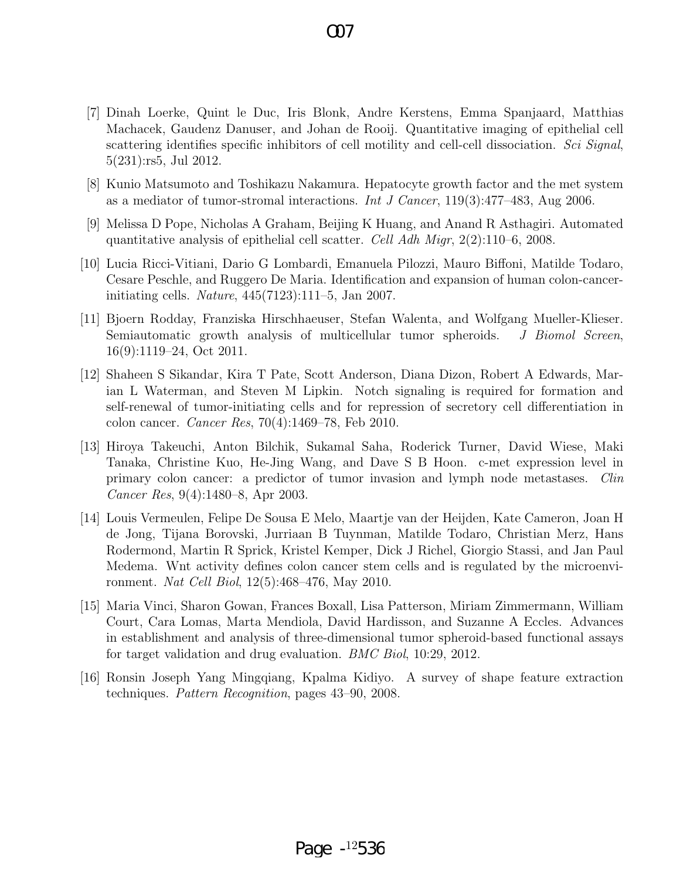- [7] Dinah Loerke, Quint le Duc, Iris Blonk, Andre Kerstens, Emma Spanjaard, Matthias Machacek, Gaudenz Danuser, and Johan de Rooij. Quantitative imaging of epithelial cell scattering identifies specific inhibitors of cell motility and cell-cell dissociation. Sci Signal, 5(231):rs5, Jul 2012.
- [8] Kunio Matsumoto and Toshikazu Nakamura. Hepatocyte growth factor and the met system as a mediator of tumor-stromal interactions. Int J Cancer,  $119(3):477-483$ , Aug 2006.
- [9] Melissa D Pope, Nicholas A Graham, Beijing K Huang, and Anand R Asthagiri. Automated quantitative analysis of epithelial cell scatter. Cell Adh Migr,  $2(2):110-6$ , 2008.
- [10] Lucia Ricci-Vitiani, Dario G Lombardi, Emanuela Pilozzi, Mauro Biffoni, Matilde Todaro, Cesare Peschle, and Ruggero De Maria. Identification and expansion of human colon-cancerinitiating cells. Nature, 445(7123):111–5, Jan 2007.
- [11] Bjoern Rodday, Franziska Hirschhaeuser, Stefan Walenta, and Wolfgang Mueller-Klieser. Semiautomatic growth analysis of multicellular tumor spheroids. J Biomol Screen, 16(9):1119–24, Oct 2011.
- [12] Shaheen S Sikandar, Kira T Pate, Scott Anderson, Diana Dizon, Robert A Edwards, Marian L Waterman, and Steven M Lipkin. Notch signaling is required for formation and self-renewal of tumor-initiating cells and for repression of secretory cell differentiation in colon cancer. Cancer Res, 70(4):1469–78, Feb 2010.
- [13] Hiroya Takeuchi, Anton Bilchik, Sukamal Saha, Roderick Turner, David Wiese, Maki Tanaka, Christine Kuo, He-Jing Wang, and Dave S B Hoon. c-met expression level in primary colon cancer: a predictor of tumor invasion and lymph node metastases. Clin Cancer Res, 9(4):1480–8, Apr 2003.
- [14] Louis Vermeulen, Felipe De Sousa E Melo, Maartje van der Heijden, Kate Cameron, Joan H de Jong, Tijana Borovski, Jurriaan B Tuynman, Matilde Todaro, Christian Merz, Hans Rodermond, Martin R Sprick, Kristel Kemper, Dick J Richel, Giorgio Stassi, and Jan Paul Medema. Wnt activity defines colon cancer stem cells and is regulated by the microenvironment. Nat Cell Biol, 12(5):468–476, May 2010.
- [15] Maria Vinci, Sharon Gowan, Frances Boxall, Lisa Patterson, Miriam Zimmermann, William Court, Cara Lomas, Marta Mendiola, David Hardisson, and Suzanne A Eccles. Advances in establishment and analysis of three-dimensional tumor spheroid-based functional assays for target validation and drug evaluation. BMC Biol, 10:29, 2012.
- [16] Ronsin Joseph Yang Mingqiang, Kpalma Kidiyo. A survey of shape feature extraction techniques. Pattern Recognition, pages 43–90, 2008.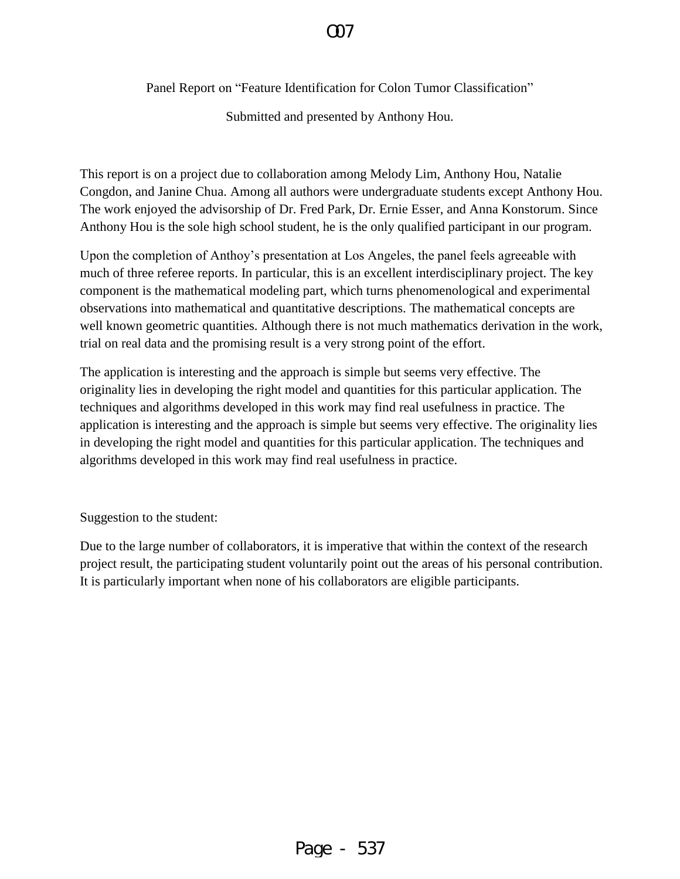## Panel Report on "Feature Identification for Colon Tumor Classification"

Submitted and presented by Anthony Hou.

This report is on a project due to collaboration among Melody Lim, Anthony Hou, Natalie Congdon, and Janine Chua. Among all authors were undergraduate students except Anthony Hou. The work enjoyed the advisorship of Dr. Fred Park, Dr. Ernie Esser, and Anna Konstorum. Since Anthony Hou is the sole high school student, he is the only qualified participant in our program.

Upon the completion of Anthoy's presentation at Los Angeles, the panel feels agreeable with much of three referee reports. In particular, this is an excellent interdisciplinary project. The key component is the mathematical modeling part, which turns phenomenological and experimental observations into mathematical and quantitative descriptions. The mathematical concepts are well known geometric quantities. Although there is not much mathematics derivation in the work, trial on real data and the promising result is a very strong point of the effort.

The application is interesting and the approach is simple but seems very effective. The originality lies in developing the right model and quantities for this particular application. The techniques and algorithms developed in this work may find real usefulness in practice. The application is interesting and the approach is simple but seems very effective. The originality lies in developing the right model and quantities for this particular application. The techniques and algorithms developed in this work may find real usefulness in practice.

Suggestion to the student:

Due to the large number of collaborators, it is imperative that within the context of the research project result, the participating student voluntarily point out the areas of his personal contribution. It is particularly important when none of his collaborators are eligible participants.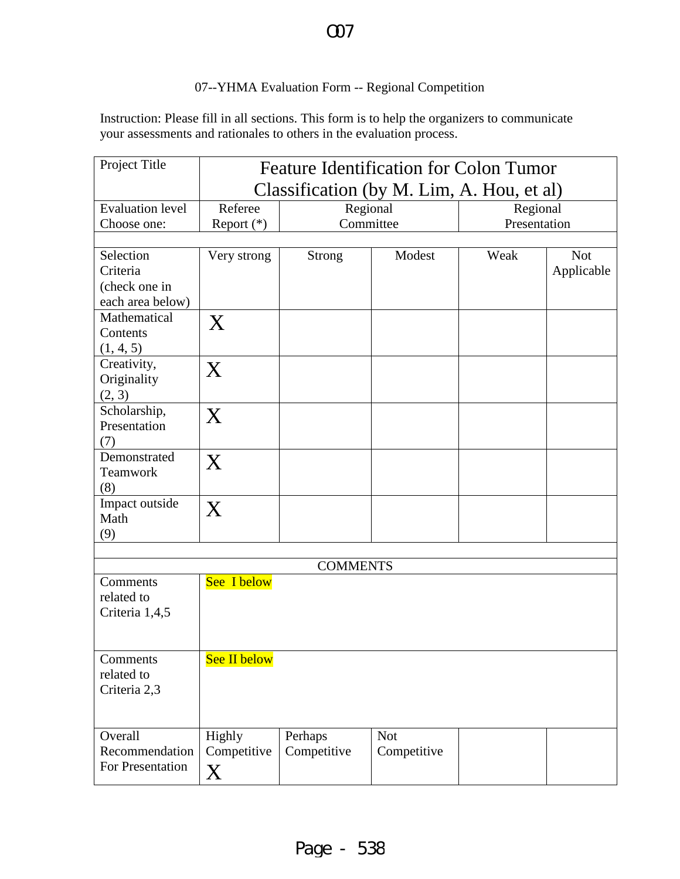# O07

# 07--YHMA Evaluation Form -- Regional Competition

Instruction: Please fill in all sections. This form is to help the organizers to communicate your assessments and rationales to others in the evaluation process.

| Project Title           | <b>Feature Identification for Colon Tumor</b> |                 |             |              |            |  |  |
|-------------------------|-----------------------------------------------|-----------------|-------------|--------------|------------|--|--|
|                         | Classification (by M. Lim, A. Hou, et al)     |                 |             |              |            |  |  |
| <b>Evaluation level</b> | Referee                                       | Regional        |             | Regional     |            |  |  |
| Choose one:             | Report $(*)$                                  | Committee       |             | Presentation |            |  |  |
|                         |                                               |                 |             |              |            |  |  |
| Selection               | Very strong                                   | <b>Strong</b>   | Modest      | Weak         | <b>Not</b> |  |  |
| Criteria                |                                               |                 |             |              | Applicable |  |  |
| (check one in           |                                               |                 |             |              |            |  |  |
| each area below)        |                                               |                 |             |              |            |  |  |
| Mathematical            | ${\rm X}$                                     |                 |             |              |            |  |  |
| Contents                |                                               |                 |             |              |            |  |  |
| (1, 4, 5)               |                                               |                 |             |              |            |  |  |
| Creativity,             | X                                             |                 |             |              |            |  |  |
| Originality             |                                               |                 |             |              |            |  |  |
| (2, 3)                  |                                               |                 |             |              |            |  |  |
| Scholarship,            | X                                             |                 |             |              |            |  |  |
| Presentation            |                                               |                 |             |              |            |  |  |
| (7)                     |                                               |                 |             |              |            |  |  |
| Demonstrated            | X                                             |                 |             |              |            |  |  |
| Teamwork                |                                               |                 |             |              |            |  |  |
| (8)                     |                                               |                 |             |              |            |  |  |
| Impact outside<br>Math  | X                                             |                 |             |              |            |  |  |
|                         |                                               |                 |             |              |            |  |  |
| (9)                     |                                               |                 |             |              |            |  |  |
|                         |                                               | <b>COMMENTS</b> |             |              |            |  |  |
| Comments                | See I below                                   |                 |             |              |            |  |  |
| related to              |                                               |                 |             |              |            |  |  |
| Criteria 1,4,5          |                                               |                 |             |              |            |  |  |
|                         |                                               |                 |             |              |            |  |  |
|                         |                                               |                 |             |              |            |  |  |
| Comments                | See II below                                  |                 |             |              |            |  |  |
| related to              |                                               |                 |             |              |            |  |  |
| Criteria 2,3            |                                               |                 |             |              |            |  |  |
|                         |                                               |                 |             |              |            |  |  |
|                         |                                               |                 |             |              |            |  |  |
| Overall                 | Highly                                        | Perhaps         | <b>Not</b>  |              |            |  |  |
| Recommendation          | Competitive                                   | Competitive     | Competitive |              |            |  |  |
| For Presentation        | $\boldsymbol{\mathrm{X}}$                     |                 |             |              |            |  |  |

Page - 538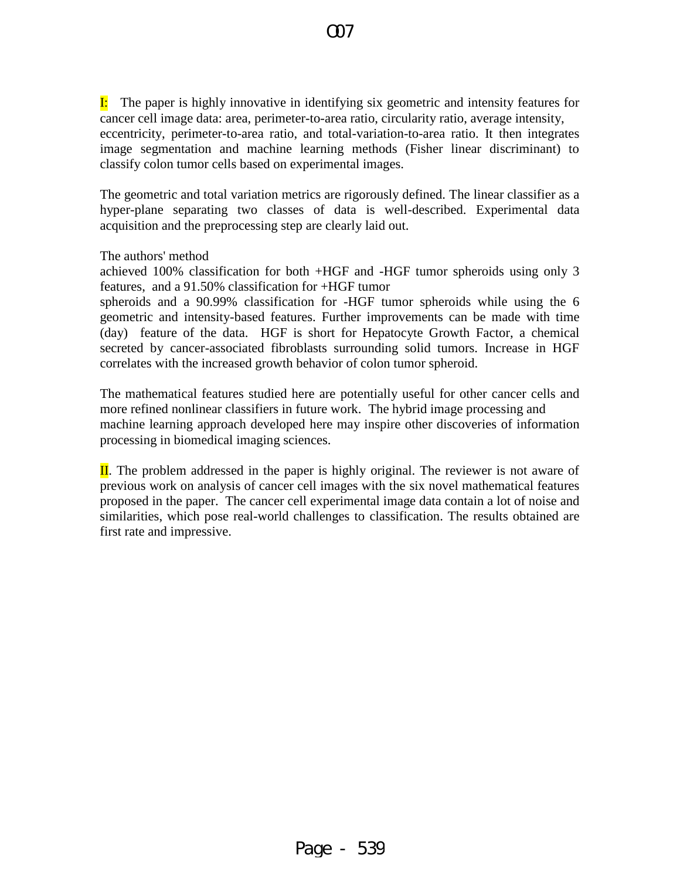I: The paper is highly innovative in identifying six geometric and intensity features for cancer cell image data: area, perimeter-to-area ratio, circularity ratio, average intensity, eccentricity, perimeter-to-area ratio, and total-variation-to-area ratio. It then integrates image segmentation and machine learning methods (Fisher linear discriminant) to classify colon tumor cells based on experimental images.

The geometric and total variation metrics are rigorously defined. The linear classifier as a hyper-plane separating two classes of data is well-described. Experimental data acquisition and the preprocessing step are clearly laid out.

The authors' method

achieved 100% classification for both +HGF and -HGF tumor spheroids using only 3 features, and a 91.50% classification for +HGF tumor

spheroids and a 90.99% classification for -HGF tumor spheroids while using the 6 geometric and intensity-based features. Further improvements can be made with time (day) feature of the data. HGF is short for Hepatocyte Growth Factor, a chemical secreted by cancer-associated fibroblasts surrounding solid tumors. Increase in HGF correlates with the increased growth behavior of colon tumor spheroid.

The mathematical features studied here are potentially useful for other cancer cells and more refined nonlinear classifiers in future work. The hybrid image processing and machine learning approach developed here may inspire other discoveries of information processing in biomedical imaging sciences.

 $\overline{II}$ . The problem addressed in the paper is highly original. The reviewer is not aware of previous work on analysis of cancer cell images with the six novel mathematical features proposed in the paper. The cancer cell experimental image data contain a lot of noise and similarities, which pose real-world challenges to classification. The results obtained are first rate and impressive.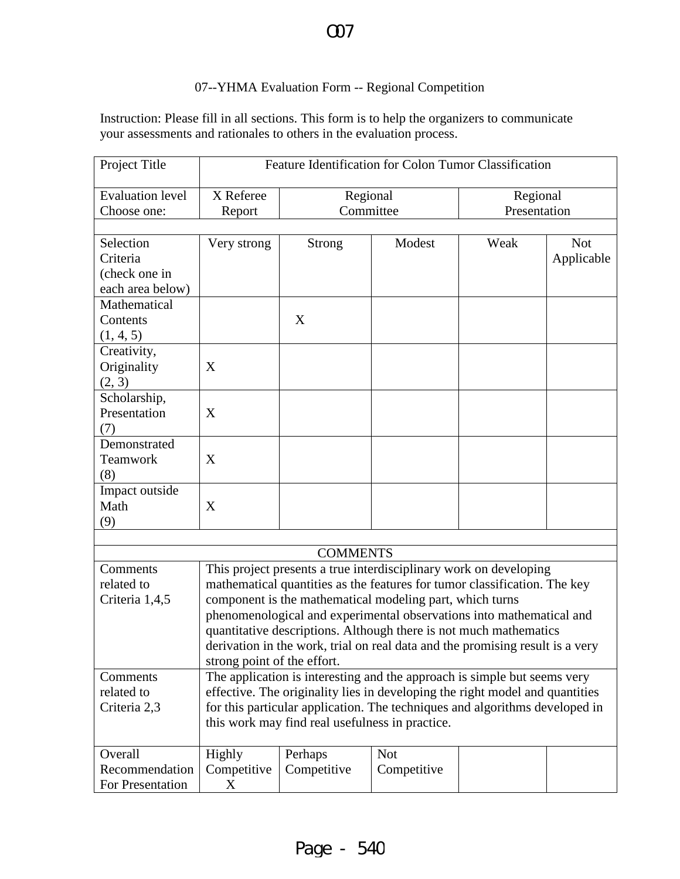# O07

# 07--YHMA Evaluation Form -- Regional Competition

Instruction: Please fill in all sections. This form is to help the organizers to communicate your assessments and rationales to others in the evaluation process.

| Project Title           | Feature Identification for Colon Tumor Classification                         |                 |             |              |            |  |
|-------------------------|-------------------------------------------------------------------------------|-----------------|-------------|--------------|------------|--|
| <b>Evaluation level</b> | X Referee                                                                     | Regional        |             | Regional     |            |  |
| Choose one:             | Report                                                                        | Committee       |             | Presentation |            |  |
|                         |                                                                               |                 |             |              |            |  |
| Selection               | Very strong                                                                   | <b>Strong</b>   | Modest      | Weak         | <b>Not</b> |  |
| Criteria                |                                                                               |                 |             |              | Applicable |  |
| (check one in           |                                                                               |                 |             |              |            |  |
| each area below)        |                                                                               |                 |             |              |            |  |
| Mathematical            |                                                                               |                 |             |              |            |  |
| Contents                |                                                                               | X               |             |              |            |  |
| (1, 4, 5)               |                                                                               |                 |             |              |            |  |
| Creativity,             |                                                                               |                 |             |              |            |  |
| Originality             | X                                                                             |                 |             |              |            |  |
| (2, 3)                  |                                                                               |                 |             |              |            |  |
| Scholarship,            |                                                                               |                 |             |              |            |  |
| Presentation            | X                                                                             |                 |             |              |            |  |
| (7)                     |                                                                               |                 |             |              |            |  |
| Demonstrated            |                                                                               |                 |             |              |            |  |
| Teamwork                | X                                                                             |                 |             |              |            |  |
| (8)                     |                                                                               |                 |             |              |            |  |
| Impact outside          |                                                                               |                 |             |              |            |  |
| Math                    | X                                                                             |                 |             |              |            |  |
| (9)                     |                                                                               |                 |             |              |            |  |
|                         |                                                                               |                 |             |              |            |  |
|                         |                                                                               | <b>COMMENTS</b> |             |              |            |  |
| Comments                | This project presents a true interdisciplinary work on developing             |                 |             |              |            |  |
| related to              | mathematical quantities as the features for tumor classification. The key     |                 |             |              |            |  |
| Criteria 1,4,5          | component is the mathematical modeling part, which turns                      |                 |             |              |            |  |
|                         | phenomenological and experimental observations into mathematical and          |                 |             |              |            |  |
|                         | quantitative descriptions. Although there is not much mathematics             |                 |             |              |            |  |
|                         | derivation in the work, trial on real data and the promising result is a very |                 |             |              |            |  |
|                         | strong point of the effort.                                                   |                 |             |              |            |  |
| Comments                | The application is interesting and the approach is simple but seems very      |                 |             |              |            |  |
| related to              | effective. The originality lies in developing the right model and quantities  |                 |             |              |            |  |
| Criteria 2,3            | for this particular application. The techniques and algorithms developed in   |                 |             |              |            |  |
|                         | this work may find real usefulness in practice.                               |                 |             |              |            |  |
| Overall                 | Highly                                                                        | Perhaps         | <b>Not</b>  |              |            |  |
| Recommendation          | Competitive                                                                   | Competitive     | Competitive |              |            |  |
| For Presentation        | X                                                                             |                 |             |              |            |  |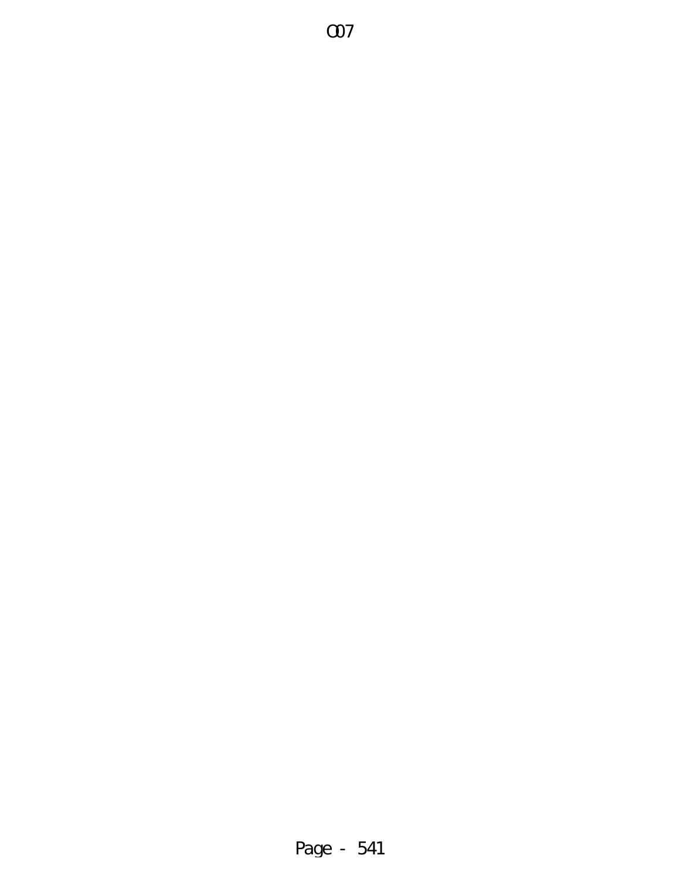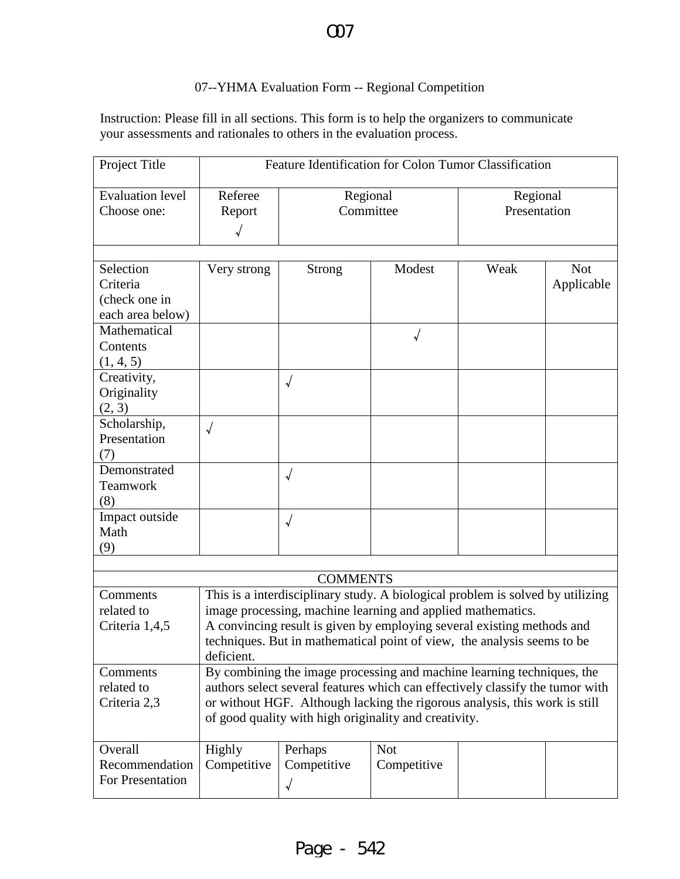# O07

# 07--YHMA Evaluation Form -- Regional Competition

Instruction: Please fill in all sections. This form is to help the organizers to communicate your assessments and rationales to others in the evaluation process.

| <b>Evaluation level</b><br>Referee<br>Regional<br>Regional<br>Committee<br>Presentation<br>Choose one:<br>Report |  |  |  |  |  |  |
|------------------------------------------------------------------------------------------------------------------|--|--|--|--|--|--|
|                                                                                                                  |  |  |  |  |  |  |
| Selection<br>Modest<br>Weak<br><b>Not</b><br>Very strong<br><b>Strong</b>                                        |  |  |  |  |  |  |
| Criteria<br>Applicable                                                                                           |  |  |  |  |  |  |
| (check one in                                                                                                    |  |  |  |  |  |  |
| each area below)                                                                                                 |  |  |  |  |  |  |
| Mathematical<br>√                                                                                                |  |  |  |  |  |  |
| Contents                                                                                                         |  |  |  |  |  |  |
| (1, 4, 5)                                                                                                        |  |  |  |  |  |  |
| Creativity,<br>$\sqrt{ }$                                                                                        |  |  |  |  |  |  |
| Originality                                                                                                      |  |  |  |  |  |  |
| (2, 3)                                                                                                           |  |  |  |  |  |  |
| Scholarship,<br>$\sqrt{ }$                                                                                       |  |  |  |  |  |  |
| Presentation                                                                                                     |  |  |  |  |  |  |
| (7)                                                                                                              |  |  |  |  |  |  |
| Demonstrated<br>$\sqrt{ }$                                                                                       |  |  |  |  |  |  |
| Teamwork                                                                                                         |  |  |  |  |  |  |
| (8)                                                                                                              |  |  |  |  |  |  |
| Impact outside<br>$\sqrt{ }$                                                                                     |  |  |  |  |  |  |
| Math                                                                                                             |  |  |  |  |  |  |
| (9)                                                                                                              |  |  |  |  |  |  |
|                                                                                                                  |  |  |  |  |  |  |
| <b>COMMENTS</b>                                                                                                  |  |  |  |  |  |  |
| This is a interdisciplinary study. A biological problem is solved by utilizing<br>Comments                       |  |  |  |  |  |  |
| image processing, machine learning and applied mathematics.<br>related to                                        |  |  |  |  |  |  |
| A convincing result is given by employing several existing methods and<br>Criteria 1,4,5                         |  |  |  |  |  |  |
| techniques. But in mathematical point of view, the analysis seems to be                                          |  |  |  |  |  |  |
| deficient.                                                                                                       |  |  |  |  |  |  |
| By combining the image processing and machine learning techniques, the<br>Comments                               |  |  |  |  |  |  |
| authors select several features which can effectively classify the tumor with<br>related to                      |  |  |  |  |  |  |
| or without HGF. Although lacking the rigorous analysis, this work is still<br>Criteria 2,3                       |  |  |  |  |  |  |
| of good quality with high originality and creativity.                                                            |  |  |  |  |  |  |
|                                                                                                                  |  |  |  |  |  |  |
| Overall<br>Highly<br>Perhaps<br><b>Not</b>                                                                       |  |  |  |  |  |  |
| Recommendation<br>Competitive<br>Competitive<br>Competitive                                                      |  |  |  |  |  |  |
| For Presentation<br>$\sqrt{ }$                                                                                   |  |  |  |  |  |  |